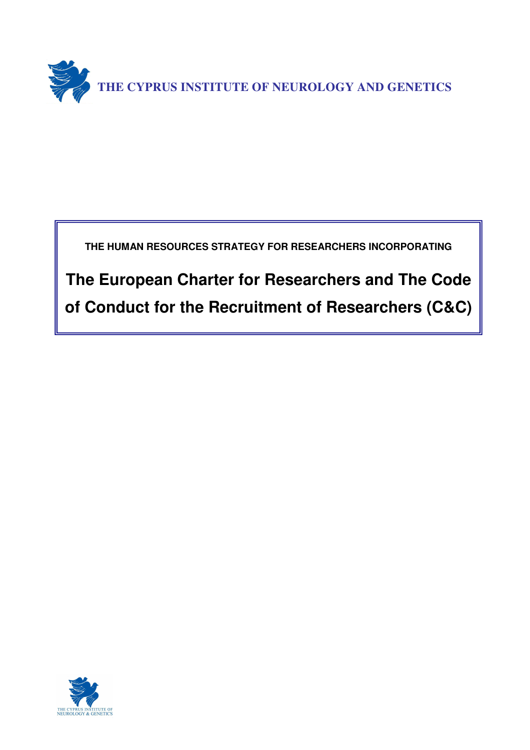

**THE HUMAN RESOURCES STRATEGY FOR RESEARCHERS INCORPORATING** 

**The European Charter for Researchers and The Code of Conduct for the Recruitment of Researchers (C&C)**

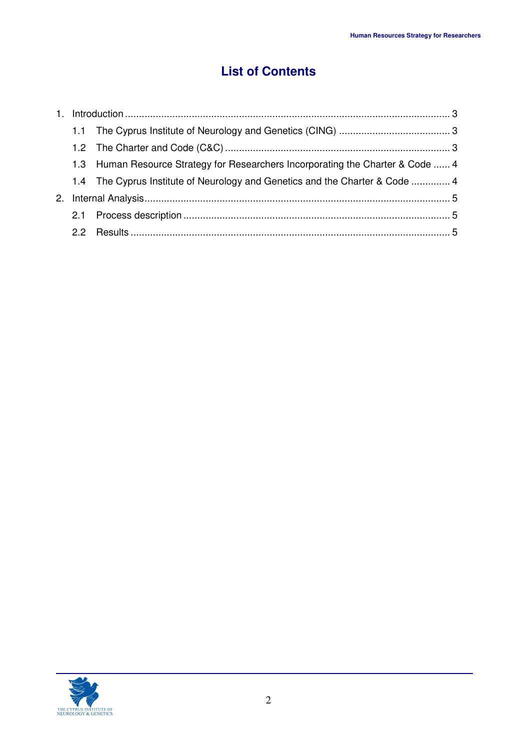# **List of Contents**

|  | 1.3 Human Resource Strategy for Researchers Incorporating the Charter & Code  4 |  |
|--|---------------------------------------------------------------------------------|--|
|  | 1.4 The Cyprus Institute of Neurology and Genetics and the Charter & Code  4    |  |
|  |                                                                                 |  |
|  |                                                                                 |  |
|  |                                                                                 |  |

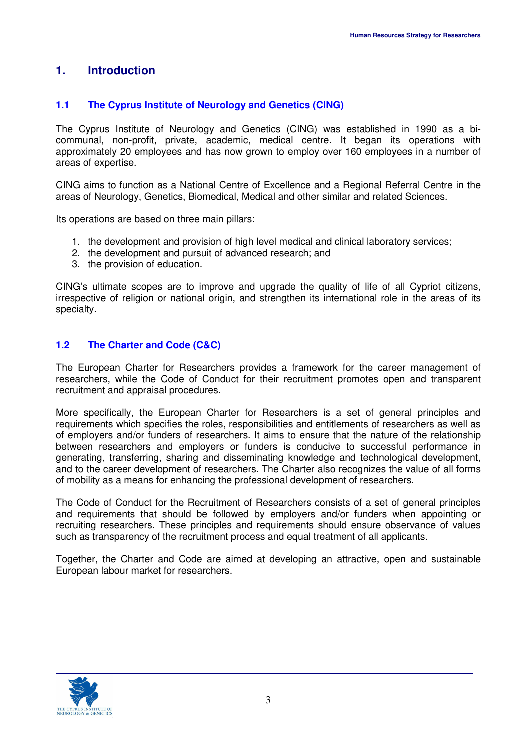## **1. Introduction**

## **1.1 The Cyprus Institute of Neurology and Genetics (CING)**

The Cyprus Institute of Neurology and Genetics (CING) was established in 1990 as a bicommunal, non-profit, private, academic, medical centre. It began its operations with approximately 20 employees and has now grown to employ over 160 employees in a number of areas of expertise.

CING aims to function as a National Centre of Excellence and a Regional Referral Centre in the areas of Neurology, Genetics, Biomedical, Medical and other similar and related Sciences.

Its operations are based on three main pillars:

- 1. the development and provision of high level medical and clinical laboratory services;
- 2. the development and pursuit of advanced research; and
- 3. the provision of education.

CING's ultimate scopes are to improve and upgrade the quality of life of all Cypriot citizens, irrespective of religion or national origin, and strengthen its international role in the areas of its specialty.

## **1.2 The Charter and Code (C&C)**

The European Charter for Researchers provides a framework for the career management of researchers, while the Code of Conduct for their recruitment promotes open and transparent recruitment and appraisal procedures.

More specifically, the European Charter for Researchers is a set of general principles and requirements which specifies the roles, responsibilities and entitlements of researchers as well as of employers and/or funders of researchers. It aims to ensure that the nature of the relationship between researchers and employers or funders is conducive to successful performance in generating, transferring, sharing and disseminating knowledge and technological development, and to the career development of researchers. The Charter also recognizes the value of all forms of mobility as a means for enhancing the professional development of researchers.

The Code of Conduct for the Recruitment of Researchers consists of a set of general principles and requirements that should be followed by employers and/or funders when appointing or recruiting researchers. These principles and requirements should ensure observance of values such as transparency of the recruitment process and equal treatment of all applicants.

Together, the Charter and Code are aimed at developing an attractive, open and sustainable European labour market for researchers.

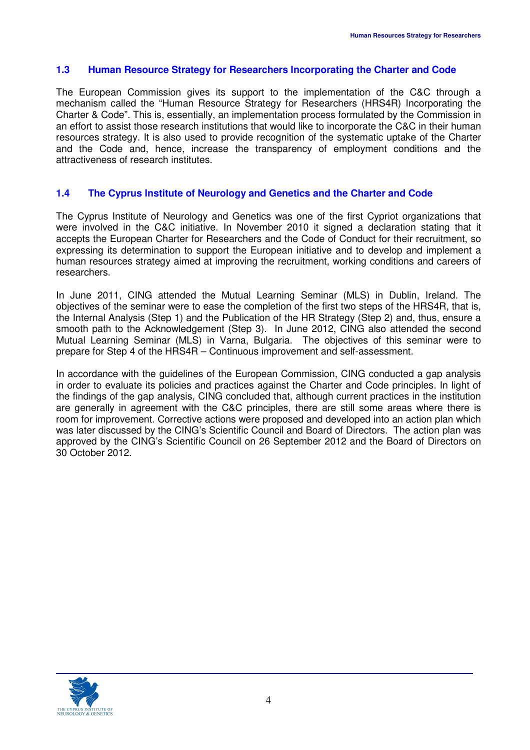## **1.3 Human Resource Strategy for Researchers Incorporating the Charter and Code**

The European Commission gives its support to the implementation of the C&C through a mechanism called the "Human Resource Strategy for Researchers (HRS4R) Incorporating the Charter & Code". This is, essentially, an implementation process formulated by the Commission in an effort to assist those research institutions that would like to incorporate the C&C in their human resources strategy. It is also used to provide recognition of the systematic uptake of the Charter and the Code and, hence, increase the transparency of employment conditions and the attractiveness of research institutes.

## **1.4 The Cyprus Institute of Neurology and Genetics and the Charter and Code**

The Cyprus Institute of Neurology and Genetics was one of the first Cypriot organizations that were involved in the C&C initiative. In November 2010 it signed a declaration stating that it accepts the European Charter for Researchers and the Code of Conduct for their recruitment, so expressing its determination to support the European initiative and to develop and implement a human resources strategy aimed at improving the recruitment, working conditions and careers of researchers.

In June 2011, CING attended the Mutual Learning Seminar (MLS) in Dublin, Ireland. The objectives of the seminar were to ease the completion of the first two steps of the HRS4R, that is, the Internal Analysis (Step 1) and the Publication of the HR Strategy (Step 2) and, thus, ensure a smooth path to the Acknowledgement (Step 3). In June 2012, CING also attended the second Mutual Learning Seminar (MLS) in Varna, Bulgaria. The objectives of this seminar were to prepare for Step 4 of the HRS4R – Continuous improvement and self-assessment.

In accordance with the guidelines of the European Commission, CING conducted a gap analysis in order to evaluate its policies and practices against the Charter and Code principles. In light of the findings of the gap analysis, CING concluded that, although current practices in the institution are generally in agreement with the C&C principles, there are still some areas where there is room for improvement. Corrective actions were proposed and developed into an action plan which was later discussed by the CING's Scientific Council and Board of Directors. The action plan was approved by the CING's Scientific Council on 26 September 2012 and the Board of Directors on 30 October 2012.

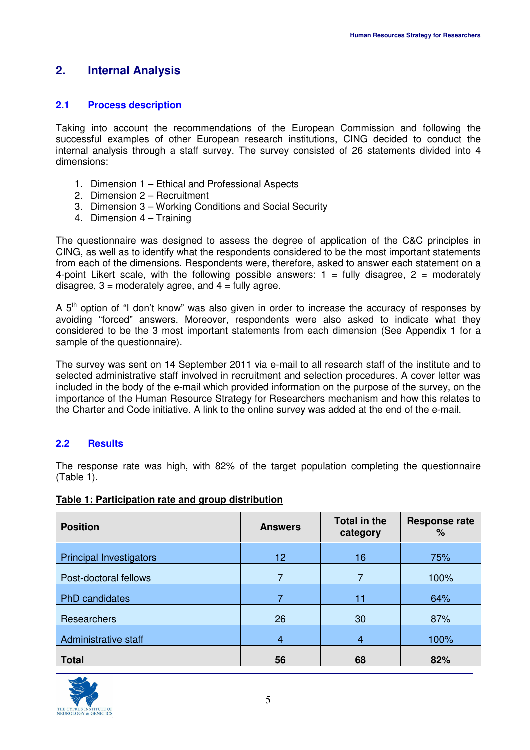## **2. Internal Analysis**

## **2.1 Process description**

Taking into account the recommendations of the European Commission and following the successful examples of other European research institutions, CING decided to conduct the internal analysis through a staff survey. The survey consisted of 26 statements divided into 4 dimensions:

- 1. Dimension 1 Ethical and Professional Aspects
- 2. Dimension 2 Recruitment
- 3. Dimension 3 Working Conditions and Social Security
- 4. Dimension 4 Training

The questionnaire was designed to assess the degree of application of the C&C principles in CING, as well as to identify what the respondents considered to be the most important statements from each of the dimensions. Respondents were, therefore, asked to answer each statement on a 4-point Likert scale, with the following possible answers:  $1 =$  fully disagree,  $2 =$  moderately disagree,  $3$  = moderately agree, and  $4$  = fully agree.

A  $5<sup>th</sup>$  option of "I don't know" was also given in order to increase the accuracy of responses by avoiding "forced" answers. Moreover, respondents were also asked to indicate what they considered to be the 3 most important statements from each dimension (See Appendix 1 for a sample of the questionnaire).

The survey was sent on 14 September 2011 via e-mail to all research staff of the institute and to selected administrative staff involved in recruitment and selection procedures. A cover letter was included in the body of the e-mail which provided information on the purpose of the survey, on the importance of the Human Resource Strategy for Researchers mechanism and how this relates to the Charter and Code initiative. A link to the online survey was added at the end of the e-mail.

## **2.2 Results**

The response rate was high, with 82% of the target population completing the questionnaire (Table 1).

| <b>Position</b>                | <b>Answers</b>  | Total in the<br>category | <b>Response rate</b><br>% |
|--------------------------------|-----------------|--------------------------|---------------------------|
| <b>Principal Investigators</b> | 12 <sub>2</sub> | 16                       | 75%                       |
| Post-doctoral fellows          |                 | 7                        | 100%                      |
| PhD candidates                 |                 | 11                       | 64%                       |
| Researchers                    | 26              | 30                       | 87%                       |
| Administrative staff           | 4               | 4                        | 100%                      |
| <b>Total</b>                   | 56              | 68                       | 82%                       |

#### **Table 1: Participation rate and group distribution**

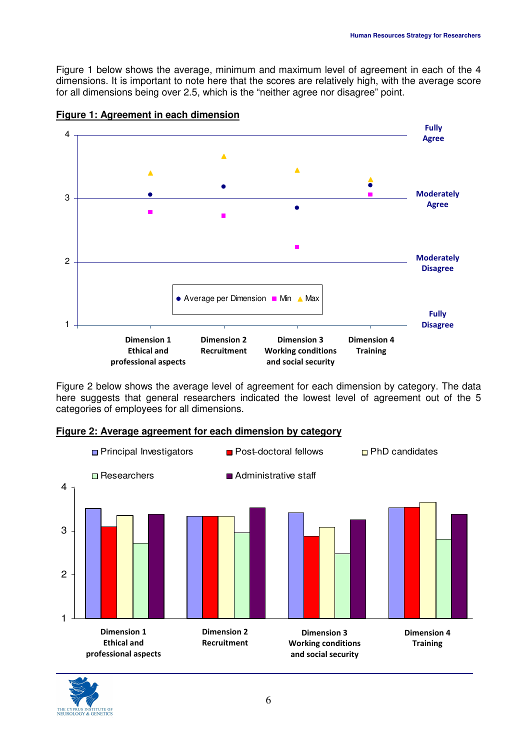Figure 1 below shows the average, minimum and maximum level of agreement in each of the 4 dimensions. It is important to note here that the scores are relatively high, with the average score for all dimensions being over 2.5, which is the "neither agree nor disagree" point.



#### **Figure 1: Agreement in each dimension**

Figure 2 below shows the average level of agreement for each dimension by category. The data here suggests that general researchers indicated the lowest level of agreement out of the 5 categories of employees for all dimensions.

#### **Figure 2: Average agreement for each dimension by category**



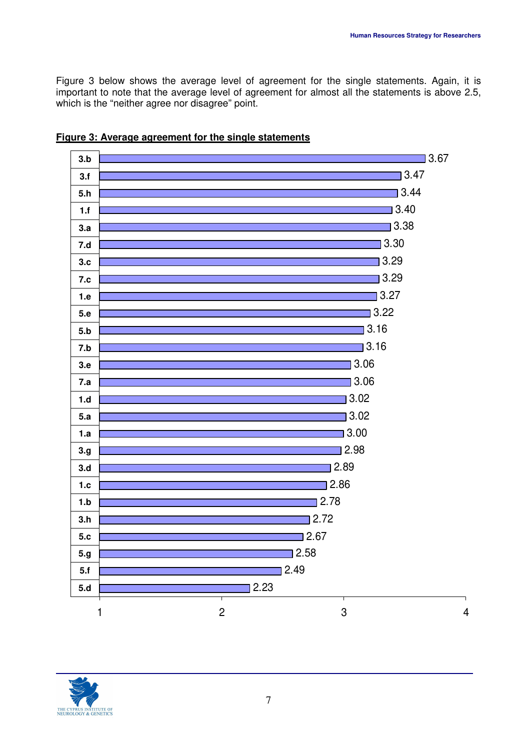Figure 3 below shows the average level of agreement for the single statements. Again, it is important to note that the average level of agreement for almost all the statements is above 2.5, which is the "neither agree nor disagree" point.





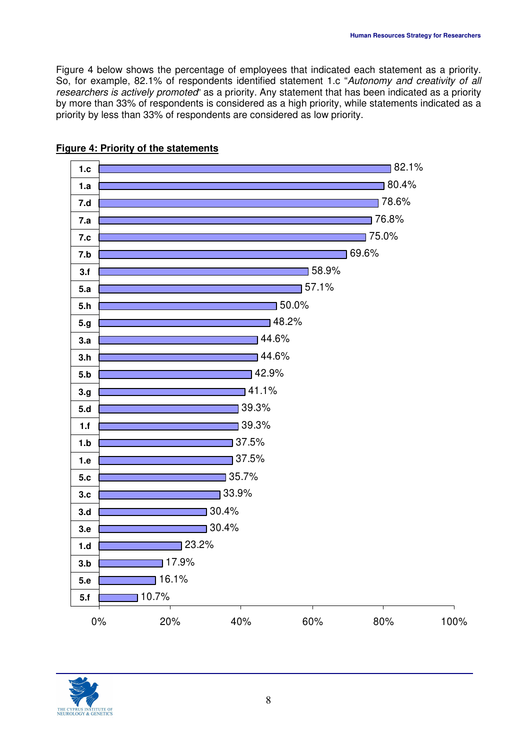Figure 4 below shows the percentage of employees that indicated each statement as a priority. So, for example, 82.1% of respondents identified statement 1.c "Autonomy and creativity of all researchers is actively promoted" as a priority. Any statement that has been indicated as a priority by more than 33% of respondents is considered as a high priority, while statements indicated as a priority by less than 33% of respondents are considered as low priority.



## **Figure 4: Priority of the statements**

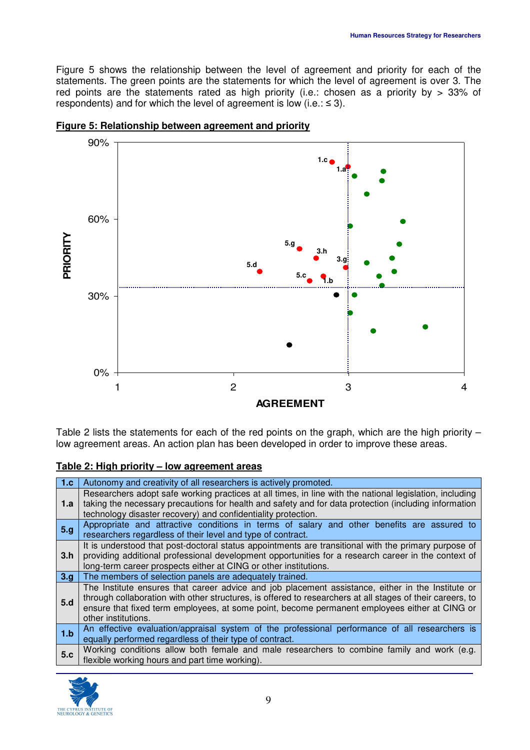Figure 5 shows the relationship between the level of agreement and priority for each of the statements. The green points are the statements for which the level of agreement is over 3. The red points are the statements rated as high priority (i.e.: chosen as a priority by > 33% of respondents) and for which the level of agreement is low (i.e.:  $\leq$  3).





Table 2 lists the statements for each of the red points on the graph, which are the high priority – low agreement areas. An action plan has been developed in order to improve these areas.

#### **Table 2: High priority – low agreement areas**

| 1.c | Autonomy and creativity of all researchers is actively promoted.                                                                                                                                                                                                                                                                       |
|-----|----------------------------------------------------------------------------------------------------------------------------------------------------------------------------------------------------------------------------------------------------------------------------------------------------------------------------------------|
| 1.a | Researchers adopt safe working practices at all times, in line with the national legislation, including<br>taking the necessary precautions for health and safety and for data protection (including information<br>technology disaster recovery) and confidentiality protection.                                                      |
| 5.g | Appropriate and attractive conditions in terms of salary and other benefits are assured to<br>researchers regardless of their level and type of contract.                                                                                                                                                                              |
| 3.h | It is understood that post-doctoral status appointments are transitional with the primary purpose of<br>providing additional professional development opportunities for a research career in the context of<br>long-term career prospects either at CING or other institutions.                                                        |
| 3.9 | The members of selection panels are adequately trained.                                                                                                                                                                                                                                                                                |
| 5.d | The Institute ensures that career advice and job placement assistance, either in the Institute or<br>through collaboration with other structures, is offered to researchers at all stages of their careers, to<br>ensure that fixed term employees, at some point, become permanent employees either at CING or<br>other institutions. |
| 1.b | An effective evaluation/appraisal system of the professional performance of all researchers is<br>equally performed regardless of their type of contract.                                                                                                                                                                              |
| 5.c | Working conditions allow both female and male researchers to combine family and work (e.g.<br>flexible working hours and part time working).                                                                                                                                                                                           |

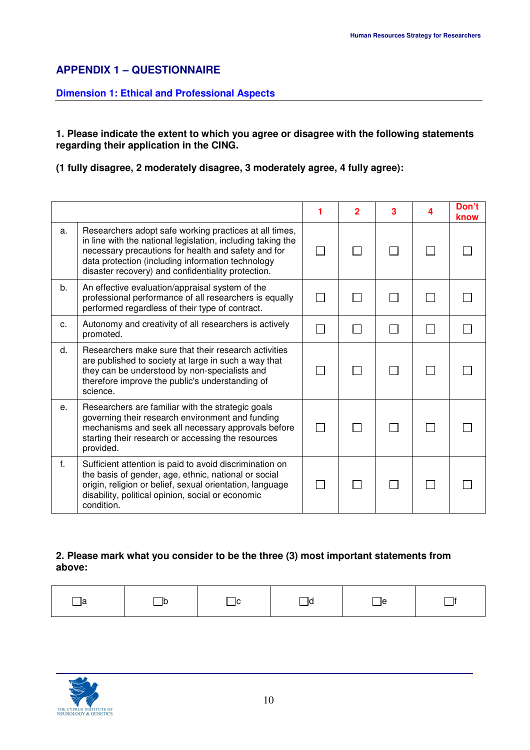## **APPENDIX 1 – QUESTIONNAIRE**

#### **Dimension 1: Ethical and Professional Aspects**

#### **1. Please indicate the extent to which you agree or disagree with the following statements regarding their application in the CING.**

**(1 fully disagree, 2 moderately disagree, 3 moderately agree, 4 fully agree):** 

|              |                                                                                                                                                                                                                                                                                         | $\mathbf{2}$ | 3 | Δ. | Don't<br>know |
|--------------|-----------------------------------------------------------------------------------------------------------------------------------------------------------------------------------------------------------------------------------------------------------------------------------------|--------------|---|----|---------------|
| a.           | Researchers adopt safe working practices at all times,<br>in line with the national legislation, including taking the<br>necessary precautions for health and safety and for<br>data protection (including information technology<br>disaster recovery) and confidentiality protection. | $\Box$       |   |    |               |
| b.           | An effective evaluation/appraisal system of the<br>professional performance of all researchers is equally<br>performed regardless of their type of contract.                                                                                                                            |              |   |    |               |
| C.           | Autonomy and creativity of all researchers is actively<br>promoted.                                                                                                                                                                                                                     |              |   |    |               |
| d.           | Researchers make sure that their research activities<br>are published to society at large in such a way that<br>they can be understood by non-specialists and<br>therefore improve the public's understanding of<br>science.                                                            |              |   |    |               |
| e.           | Researchers are familiar with the strategic goals<br>governing their research environment and funding<br>mechanisms and seek all necessary approvals before<br>starting their research or accessing the resources<br>provided.                                                          |              |   |    |               |
| $f_{\rm{r}}$ | Sufficient attention is paid to avoid discrimination on<br>the basis of gender, age, ethnic, national or social<br>origin, religion or belief, sexual orientation, language<br>disability, political opinion, social or economic<br>condition.                                          |              |   |    |               |

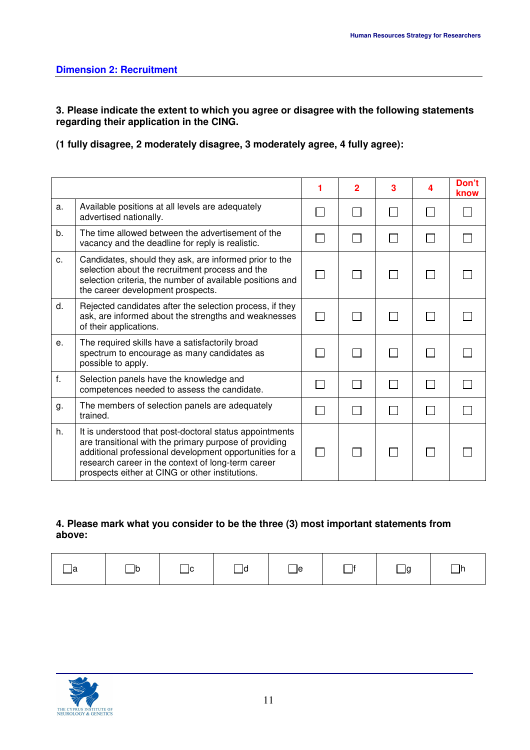**3. Please indicate the extent to which you agree or disagree with the following statements regarding their application in the CING.** 

**(1 fully disagree, 2 moderately disagree, 3 moderately agree, 4 fully agree):** 

|                |                                                                                                                                                                                                                                                                                       | 1            | $\overline{2}$ | 3 | 4 | Don't<br>know |
|----------------|---------------------------------------------------------------------------------------------------------------------------------------------------------------------------------------------------------------------------------------------------------------------------------------|--------------|----------------|---|---|---------------|
| a.             | Available positions at all levels are adequately<br>advertised nationally.                                                                                                                                                                                                            |              | $\mathbb{R}^n$ |   |   |               |
| b.             | The time allowed between the advertisement of the<br>vacancy and the deadline for reply is realistic.                                                                                                                                                                                 |              | $\mathbf{I}$   |   |   |               |
| c.             | Candidates, should they ask, are informed prior to the<br>selection about the recruitment process and the<br>selection criteria, the number of available positions and<br>the career development prospects.                                                                           |              | $\mathbf{I}$   |   |   |               |
| d.             | Rejected candidates after the selection process, if they<br>ask, are informed about the strengths and weaknesses<br>of their applications.                                                                                                                                            | $\mathbf{I}$ | $\mathsf{L}$   |   |   |               |
| e <sub>1</sub> | The required skills have a satisfactorily broad<br>spectrum to encourage as many candidates as<br>possible to apply.                                                                                                                                                                  |              | $\sim$         |   |   |               |
| f.             | Selection panels have the knowledge and<br>competences needed to assess the candidate.                                                                                                                                                                                                |              | $\mathbf{I}$   |   |   |               |
| g.             | The members of selection panels are adequately<br>trained.                                                                                                                                                                                                                            |              | $\mathbf{I}$   |   |   |               |
| h.             | It is understood that post-doctoral status appointments<br>are transitional with the primary purpose of providing<br>additional professional development opportunities for a<br>research career in the context of long-term career<br>prospects either at CING or other institutions. | $\mathsf{L}$ |                |   |   |               |

| la | lb | l IC. | ld | le |  | la | ۱r |
|----|----|-------|----|----|--|----|----|
|----|----|-------|----|----|--|----|----|

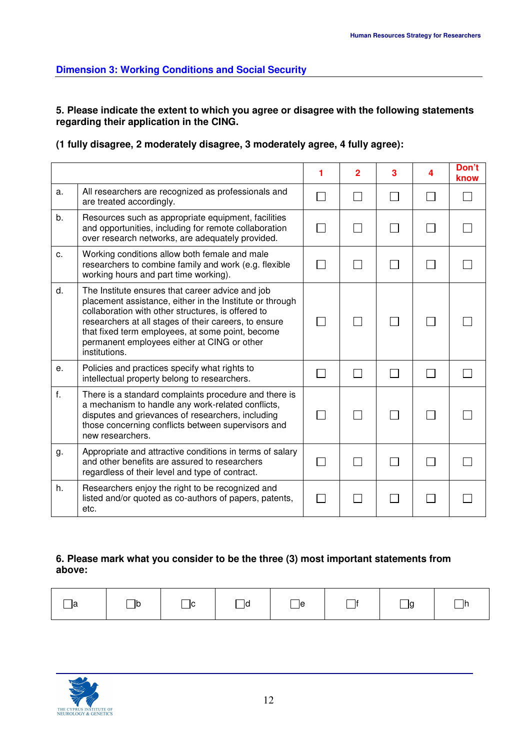## **Dimension 3: Working Conditions and Social Security**

**5. Please indicate the extent to which you agree or disagree with the following statements regarding their application in the CING.** 

**(1 fully disagree, 2 moderately disagree, 3 moderately agree, 4 fully agree):** 

|    |                                                                                                                                                                                                                                                                                                                                                 | $\overline{2}$ | 3 | 4 | Don't<br>know |
|----|-------------------------------------------------------------------------------------------------------------------------------------------------------------------------------------------------------------------------------------------------------------------------------------------------------------------------------------------------|----------------|---|---|---------------|
| a. | All researchers are recognized as professionals and<br>are treated accordingly.                                                                                                                                                                                                                                                                 |                |   |   |               |
| b. | Resources such as appropriate equipment, facilities<br>and opportunities, including for remote collaboration<br>over research networks, are adequately provided.                                                                                                                                                                                |                |   |   |               |
| c. | Working conditions allow both female and male<br>researchers to combine family and work (e.g. flexible<br>working hours and part time working).                                                                                                                                                                                                 |                |   |   |               |
| d. | The Institute ensures that career advice and job<br>placement assistance, either in the Institute or through<br>collaboration with other structures, is offered to<br>researchers at all stages of their careers, to ensure<br>that fixed term employees, at some point, become<br>permanent employees either at CING or other<br>institutions. |                |   |   |               |
| е. | Policies and practices specify what rights to<br>intellectual property belong to researchers.                                                                                                                                                                                                                                                   |                |   |   |               |
| f. | There is a standard complaints procedure and there is<br>a mechanism to handle any work-related conflicts,<br>disputes and grievances of researchers, including<br>those concerning conflicts between supervisors and<br>new researchers.                                                                                                       |                |   |   |               |
| g. | Appropriate and attractive conditions in terms of salary<br>and other benefits are assured to researchers<br>regardless of their level and type of contract.                                                                                                                                                                                    |                |   |   |               |
| h. | Researchers enjoy the right to be recognized and<br>listed and/or quoted as co-authors of papers, patents,<br>etc.                                                                                                                                                                                                                              |                |   |   |               |

| l la | $\Box$ b | $\Box$ c | $\Box$ d | $\Box$ e | $\Box$ f | $\Box$ g | $\Box$ h |
|------|----------|----------|----------|----------|----------|----------|----------|
|------|----------|----------|----------|----------|----------|----------|----------|

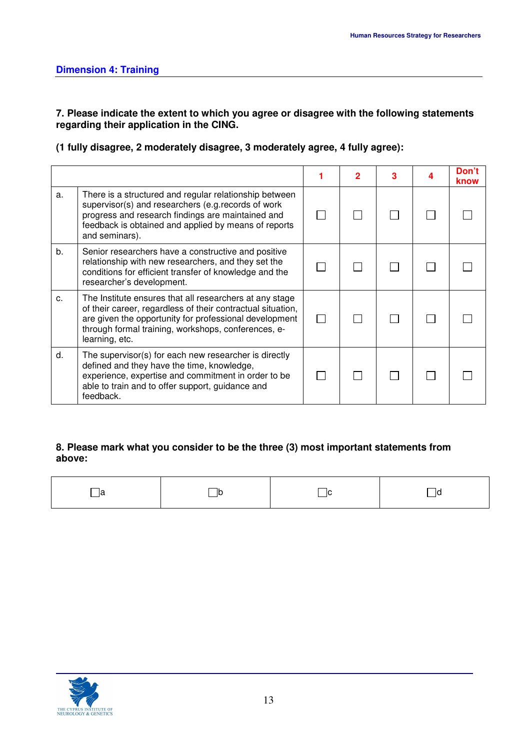### **7. Please indicate the extent to which you agree or disagree with the following statements regarding their application in the CING.**

## **(1 fully disagree, 2 moderately disagree, 3 moderately agree, 4 fully agree):**

|    |                                                                                                                                                                                                                                                           |  |  | Don't<br>know |
|----|-----------------------------------------------------------------------------------------------------------------------------------------------------------------------------------------------------------------------------------------------------------|--|--|---------------|
| a. | There is a structured and regular relationship between<br>supervisor(s) and researchers (e.g. records of work<br>progress and research findings are maintained and<br>feedback is obtained and applied by means of reports<br>and seminars).              |  |  |               |
| b. | Senior researchers have a constructive and positive<br>relationship with new researchers, and they set the<br>conditions for efficient transfer of knowledge and the<br>researcher's development.                                                         |  |  |               |
| C. | The Institute ensures that all researchers at any stage<br>of their career, regardless of their contractual situation,<br>are given the opportunity for professional development<br>through formal training, workshops, conferences, e-<br>learning, etc. |  |  |               |
| d. | The supervisor(s) for each new researcher is directly<br>defined and they have the time, knowledge,<br>experience, expertise and commitment in order to be<br>able to train and to offer support, guidance and<br>feedback.                               |  |  |               |

| la | $\Box$ b | - IC | $\overline{\phantom{0}}$<br>ld |
|----|----------|------|--------------------------------|
|    |          |      |                                |